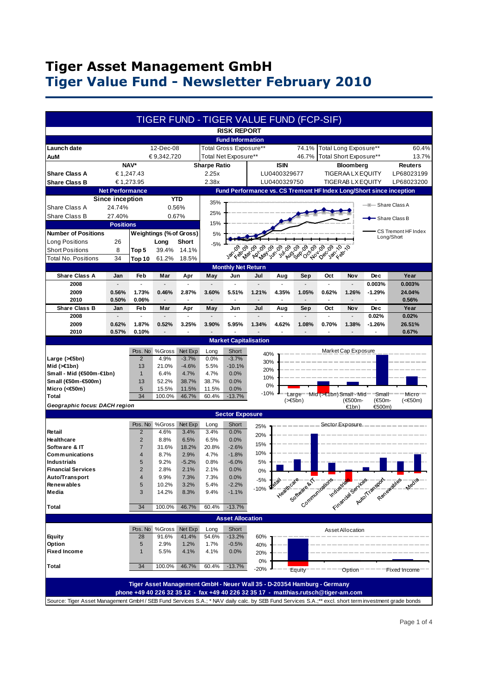# **Tiger Asset Management GmbH Tiger Value Fund - Newsletter February 2010**

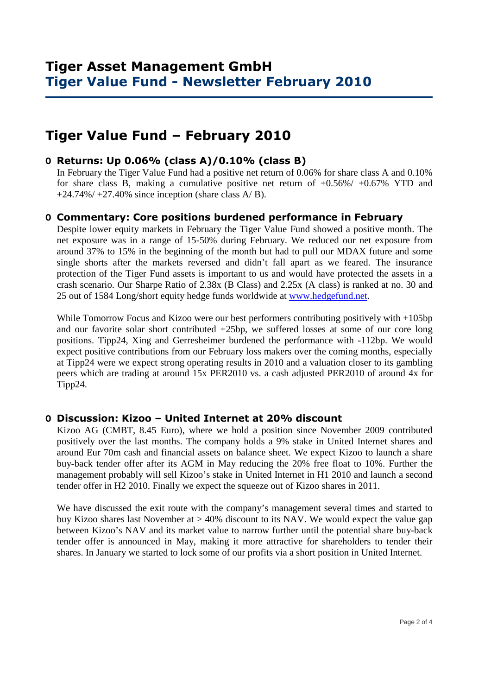# **Tiger Value Fund – February 2010**

### **O Returns: Up 0.06% (class A)/0.10% (class B)**

 In February the Tiger Value Fund had a positive net return of 0.06% for share class A and 0.10% for share class B, making a cumulative positive net return of  $+0.56\% / +0.67\%$  YTD and  $+24.74\%/+27.40\%$  since inception (share class A/B).

#### **O Commentary: Core positions burdened performance in February**

Despite lower equity markets in February the Tiger Value Fund showed a positive month. The net exposure was in a range of 15-50% during February. We reduced our net exposure from around 37% to 15% in the beginning of the month but had to pull our MDAX future and some single shorts after the markets reversed and didn't fall apart as we feared. The insurance protection of the Tiger Fund assets is important to us and would have protected the assets in a crash scenario. Our Sharpe Ratio of 2.38x (B Class) and 2.25x (A class) is ranked at no. 30 and 25 out of 1584 Long/short equity hedge funds worldwide at www.hedgefund.net.

While Tomorrow Focus and Kizoo were our best performers contributing positively with  $+105bp$ and our favorite solar short contributed +25bp, we suffered losses at some of our core long positions. Tipp24, Xing and Gerresheimer burdened the performance with -112bp. We would expect positive contributions from our February loss makers over the coming months, especially at Tipp24 were we expect strong operating results in 2010 and a valuation closer to its gambling peers which are trading at around 15x PER2010 vs. a cash adjusted PER2010 of around 4x for Tipp24.

#### **O Discussion: Kizoo – United Internet at 20% discount**

Kizoo AG (CMBT, 8.45 Euro), where we hold a position since November 2009 contributed positively over the last months. The company holds a 9% stake in United Internet shares and around Eur 70m cash and financial assets on balance sheet. We expect Kizoo to launch a share buy-back tender offer after its AGM in May reducing the 20% free float to 10%. Further the management probably will sell Kizoo's stake in United Internet in H1 2010 and launch a second tender offer in H2 2010. Finally we expect the squeeze out of Kizoo shares in 2011.

We have discussed the exit route with the company's management several times and started to buy Kizoo shares last November at > 40% discount to its NAV. We would expect the value gap between Kizoo's NAV and its market value to narrow further until the potential share buy-back tender offer is announced in May, making it more attractive for shareholders to tender their shares. In January we started to lock some of our profits via a short position in United Internet.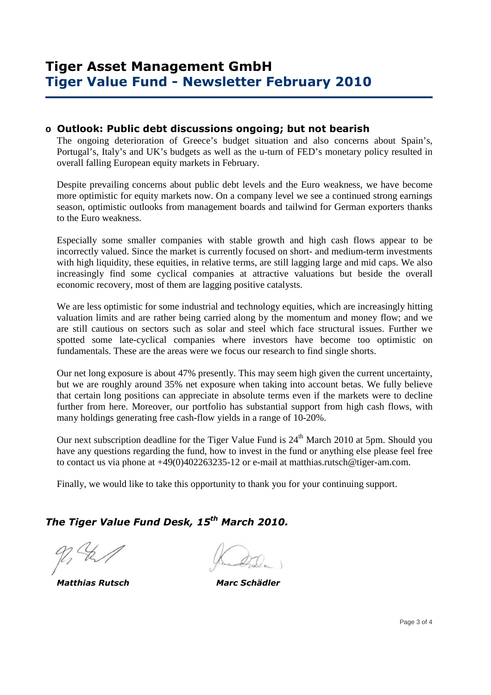#### **o Outlook: Public debt discussions ongoing; but not bearish**

The ongoing deterioration of Greece's budget situation and also concerns about Spain's, Portugal's, Italy's and UK's budgets as well as the u-turn of FED's monetary policy resulted in overall falling European equity markets in February.

Despite prevailing concerns about public debt levels and the Euro weakness, we have become more optimistic for equity markets now. On a company level we see a continued strong earnings season, optimistic outlooks from management boards and tailwind for German exporters thanks to the Euro weakness.

Especially some smaller companies with stable growth and high cash flows appear to be incorrectly valued. Since the market is currently focused on short- and medium-term investments with high liquidity, these equities, in relative terms, are still lagging large and mid caps. We also increasingly find some cyclical companies at attractive valuations but beside the overall economic recovery, most of them are lagging positive catalysts.

We are less optimistic for some industrial and technology equities, which are increasingly hitting valuation limits and are rather being carried along by the momentum and money flow; and we are still cautious on sectors such as solar and steel which face structural issues. Further we spotted some late-cyclical companies where investors have become too optimistic on fundamentals. These are the areas were we focus our research to find single shorts.

Our net long exposure is about 47% presently. This may seem high given the current uncertainty, but we are roughly around 35% net exposure when taking into account betas. We fully believe that certain long positions can appreciate in absolute terms even if the markets were to decline further from here. Moreover, our portfolio has substantial support from high cash flows, with many holdings generating free cash-flow yields in a range of 10-20%.

Our next subscription deadline for the Tiger Value Fund is  $24<sup>th</sup>$  March 2010 at 5pm. Should you have any questions regarding the fund, how to invest in the fund or anything else please feel free to contact us via phone at +49(0)402263235-12 or e-mail at matthias.rutsch@tiger-am.com.

Finally, we would like to take this opportunity to thank you for your continuing support.

## *The Tiger Value Fund Desk, 15th March 2010.*

 *Matthias Rutsch Marc Schädler*